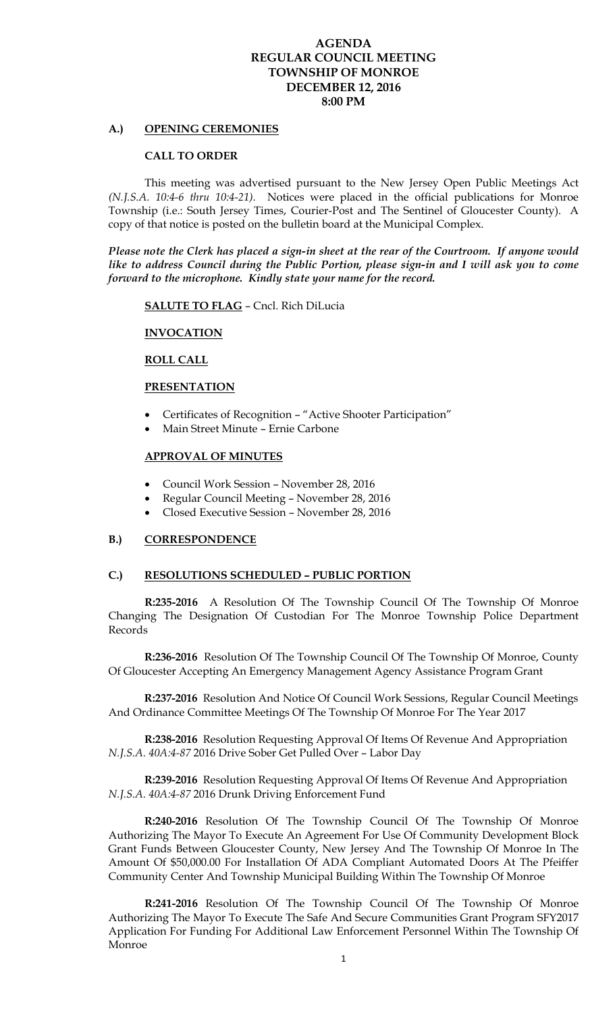## **AGENDA REGULAR COUNCIL MEETING TOWNSHIP OF MONROE DECEMBER 12, 2016 8:00 PM**

### **A.) OPENING CEREMONIES**

#### **CALL TO ORDER**

 This meeting was advertised pursuant to the New Jersey Open Public Meetings Act *(N.J.S.A. 10:4-6 thru 10:4-21).* Notices were placed in the official publications for Monroe Township (i.e.: South Jersey Times, Courier-Post and The Sentinel of Gloucester County). A copy of that notice is posted on the bulletin board at the Municipal Complex.

*Please note the Clerk has placed a sign-in sheet at the rear of the Courtroom. If anyone would like to address Council during the Public Portion, please sign-in and I will ask you to come forward to the microphone. Kindly state your name for the record.* 

**SALUTE TO FLAG** – Cncl. Rich DiLucia

### **INVOCATION**

### **ROLL CALL**

#### **PRESENTATION**

- Certificates of Recognition "Active Shooter Participation"
- Main Street Minute Ernie Carbone

### **APPROVAL OF MINUTES**

- Council Work Session November 28, 2016
- Regular Council Meeting November 28, 2016
- Closed Executive Session November 28, 2016

# **B.) CORRESPONDENCE**

## **C.) RESOLUTIONS SCHEDULED – PUBLIC PORTION**

**R:235-2016** A Resolution Of The Township Council Of The Township Of Monroe Changing The Designation Of Custodian For The Monroe Township Police Department Records

 **R:236-2016** Resolution Of The Township Council Of The Township Of Monroe, County Of Gloucester Accepting An Emergency Management Agency Assistance Program Grant

 **R:237-2016** Resolution And Notice Of Council Work Sessions, Regular Council Meetings And Ordinance Committee Meetings Of The Township Of Monroe For The Year 2017

 **R:238-2016** Resolution Requesting Approval Of Items Of Revenue And Appropriation *N.J.S.A. 40A:4-87* 2016 Drive Sober Get Pulled Over – Labor Day

 **R:239-2016** Resolution Requesting Approval Of Items Of Revenue And Appropriation *N.J.S.A. 40A:4-87* 2016 Drunk Driving Enforcement Fund

 **R:240-2016** Resolution Of The Township Council Of The Township Of Monroe Authorizing The Mayor To Execute An Agreement For Use Of Community Development Block Grant Funds Between Gloucester County, New Jersey And The Township Of Monroe In The Amount Of \$50,000.00 For Installation Of ADA Compliant Automated Doors At The Pfeiffer Community Center And Township Municipal Building Within The Township Of Monroe

**R:241-2016** Resolution Of The Township Council Of The Township Of Monroe Authorizing The Mayor To Execute The Safe And Secure Communities Grant Program SFY2017 Application For Funding For Additional Law Enforcement Personnel Within The Township Of Monroe